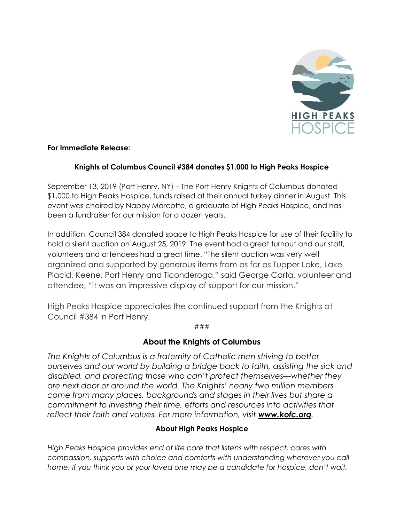

## For Immediate Release:

## Knights of Columbus Council #384 donates \$1,000 to High Peaks Hospice

September 13, 2019 (Port Henry, NY) – The Port Henry Knights of Columbus donated \$1,000 to High Peaks Hospice, funds raised at their annual turkey dinner in August. This event was chaired by Nappy Marcotte, a graduate of High Peaks Hospice, and has been a fundraiser for our mission for a dozen years.

In addition, Council 384 donated space to High Peaks Hospice for use of their facility to hold a silent auction on August 25, 2019. The event had a great turnout and our staff, volunteers and attendees had a great time. "The silent auction was very well organized and supported by generous items from as far as Tupper Lake, Lake Placid, Keene, Port Henry and Ticonderoga," said George Carta, volunteer and attendee, "it was an impressive display of support for our mission."

High Peaks Hospice appreciates the continued support from the Knights at Council #384 in Port Henry.

###

## About the Knights of Columbus

The Knights of Columbus is a fraternity of Catholic men striving to better ourselves and our world by building a bridge back to faith, assisting the sick and disabled, and protecting those who can't protect themselves—whether they are next door or around the world. The Knights' nearly two million members come from many places, backgrounds and stages in their lives but share a commitment to investing their time, efforts and resources into activities that reflect their faith and values. For more information, visit **www.kofc.org**.

## About High Peaks Hospice

High Peaks Hospice provides end of life care that listens with respect, cares with compassion, supports with choice and comforts with understanding wherever you call home. If you think you or your loved one may be a candidate for hospice, don't wait.